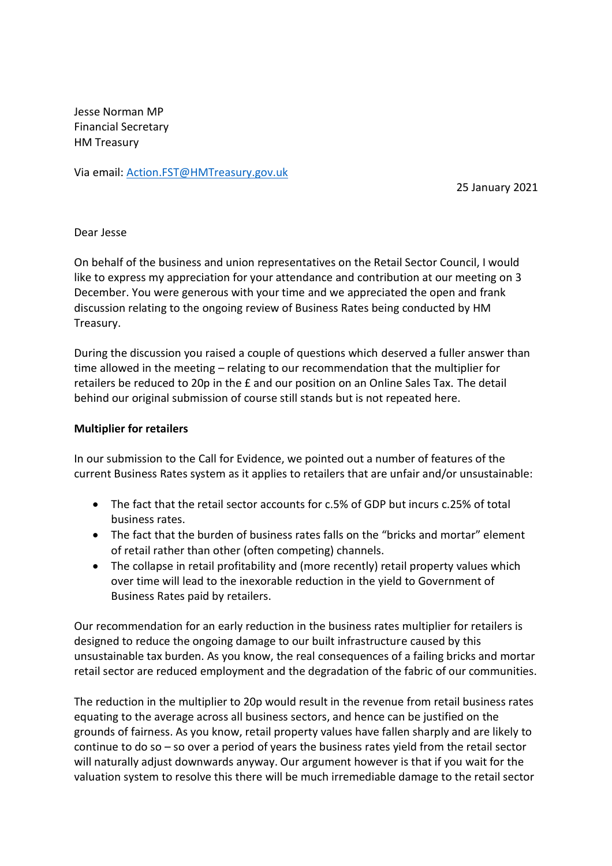Jesse Norman MP Financial Secretary HM Treasury

Via email: [Action.FST@HMTreasury.gov.uk](mailto:Action.FST@HMTreasury.gov.uk)

25 January 2021

## Dear Jesse

On behalf of the business and union representatives on the Retail Sector Council, I would like to express my appreciation for your attendance and contribution at our meeting on 3 December. You were generous with your time and we appreciated the open and frank discussion relating to the ongoing review of Business Rates being conducted by HM Treasury.

During the discussion you raised a couple of questions which deserved a fuller answer than time allowed in the meeting – relating to our recommendation that the multiplier for retailers be reduced to 20p in the £ and our position on an Online Sales Tax. The detail behind our original submission of course still stands but is not repeated here.

## **Multiplier for retailers**

In our submission to the Call for Evidence, we pointed out a number of features of the current Business Rates system as it applies to retailers that are unfair and/or unsustainable:

- The fact that the retail sector accounts for c.5% of GDP but incurs c.25% of total business rates.
- The fact that the burden of business rates falls on the "bricks and mortar" element of retail rather than other (often competing) channels.
- The collapse in retail profitability and (more recently) retail property values which over time will lead to the inexorable reduction in the yield to Government of Business Rates paid by retailers.

Our recommendation for an early reduction in the business rates multiplier for retailers is designed to reduce the ongoing damage to our built infrastructure caused by this unsustainable tax burden. As you know, the real consequences of a failing bricks and mortar retail sector are reduced employment and the degradation of the fabric of our communities.

The reduction in the multiplier to 20p would result in the revenue from retail business rates equating to the average across all business sectors, and hence can be justified on the grounds of fairness. As you know, retail property values have fallen sharply and are likely to continue to do so – so over a period of years the business rates yield from the retail sector will naturally adjust downwards anyway. Our argument however is that if you wait for the valuation system to resolve this there will be much irremediable damage to the retail sector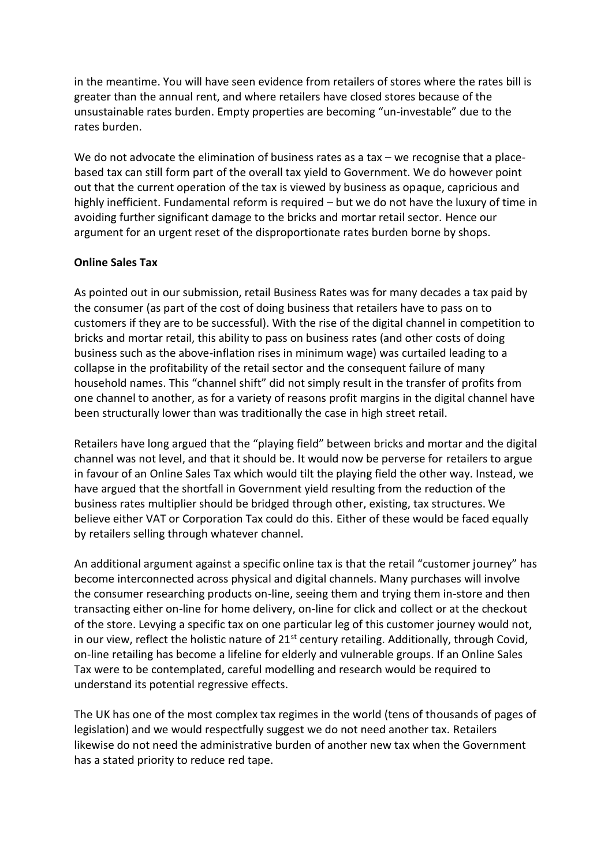in the meantime. You will have seen evidence from retailers of stores where the rates bill is greater than the annual rent, and where retailers have closed stores because of the unsustainable rates burden. Empty properties are becoming "un-investable" due to the rates burden.

We do not advocate the elimination of business rates as a tax – we recognise that a placebased tax can still form part of the overall tax yield to Government. We do however point out that the current operation of the tax is viewed by business as opaque, capricious and highly inefficient. Fundamental reform is required – but we do not have the luxury of time in avoiding further significant damage to the bricks and mortar retail sector. Hence our argument for an urgent reset of the disproportionate rates burden borne by shops.

## **Online Sales Tax**

As pointed out in our submission, retail Business Rates was for many decades a tax paid by the consumer (as part of the cost of doing business that retailers have to pass on to customers if they are to be successful). With the rise of the digital channel in competition to bricks and mortar retail, this ability to pass on business rates (and other costs of doing business such as the above-inflation rises in minimum wage) was curtailed leading to a collapse in the profitability of the retail sector and the consequent failure of many household names. This "channel shift" did not simply result in the transfer of profits from one channel to another, as for a variety of reasons profit margins in the digital channel have been structurally lower than was traditionally the case in high street retail.

Retailers have long argued that the "playing field" between bricks and mortar and the digital channel was not level, and that it should be. It would now be perverse for retailers to argue in favour of an Online Sales Tax which would tilt the playing field the other way. Instead, we have argued that the shortfall in Government yield resulting from the reduction of the business rates multiplier should be bridged through other, existing, tax structures. We believe either VAT or Corporation Tax could do this. Either of these would be faced equally by retailers selling through whatever channel.

An additional argument against a specific online tax is that the retail "customer journey" has become interconnected across physical and digital channels. Many purchases will involve the consumer researching products on-line, seeing them and trying them in-store and then transacting either on-line for home delivery, on-line for click and collect or at the checkout of the store. Levying a specific tax on one particular leg of this customer journey would not, in our view, reflect the holistic nature of  $21<sup>st</sup>$  century retailing. Additionally, through Covid, on-line retailing has become a lifeline for elderly and vulnerable groups. If an Online Sales Tax were to be contemplated, careful modelling and research would be required to understand its potential regressive effects.

The UK has one of the most complex tax regimes in the world (tens of thousands of pages of legislation) and we would respectfully suggest we do not need another tax. Retailers likewise do not need the administrative burden of another new tax when the Government has a stated priority to reduce red tape.